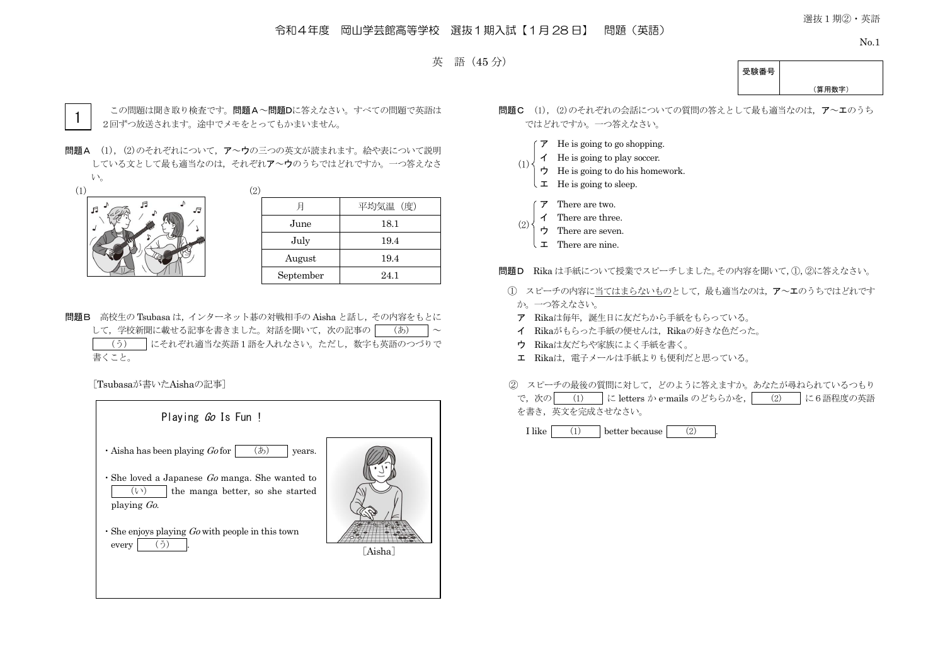# 令和4年度 岡山学芸館高等学校 選抜1期入試【1月 28 日】 問題(英語)

選抜1期②・英語

No.1



受験番号 (算用数字)



この問題は聞き取り検査です。問題A~問題Dに答えなさい。すべての問題で英語は 2回ずつ放送されます。途中でメモをとってもかまいません。

問題A (1), (2)のそれぞれについて, ア~ウの三つの英文が読まれます。絵や表について説明 している文として最も適当なのは,それぞれア~ウのうちではどれですか。一つ答えなさ  $V_{0}$ 



| ر ے |           |          |
|-----|-----------|----------|
|     |           | 平均気温 (度) |
|     | June      | 18.1     |
|     | July      | 19.4     |
|     | August    | 19.4     |
|     | September | 24.1     |

問題B 高校生の Tsubasa は,インターネット碁の対戦相手の Aisha と話し,その内容をもとに して、学校新聞に載せる記事を書きました。対話を聞いて、次の記事の (あ) < (う) にそれぞれ適当な英語1語を入れなさい。ただし,数字も英語のつづりで 書くこと。

[Tsubasaが書いたAishaの記事]

| Playing <i>Go</i> Is Fun !                                                                           |         |
|------------------------------------------------------------------------------------------------------|---------|
| (あ)<br>$\cdot$ Aisha has been playing Go for<br>years.                                               |         |
| $\cdot$ She loved a Japanese Go manga. She wanted to<br>$(\vee)$<br>the manga better, so she started |         |
| playing $Go$ .                                                                                       |         |
| $\cdot$ She enjoys playing <i>Go</i> with people in this town<br>every                               | [Aisha] |
|                                                                                                      |         |
|                                                                                                      |         |

- 問題C (1), (2)のそれぞれの会話についての質問の答えとして最も適当なのは、ア~エのうち ではどれですか。一つ答えなさい。
	- $\mathcal F$  He is going to go shopping.
	- イ He is going to play soccer.
	- ウ He is going to do his homework.  $(1)$ 
		- $\downarrow$  **I** He is going to sleep.
		- ア There are two.
		- イ There are three.
	- ウ There are seven. (2)
		- エ There are nine.

問題D Rika は手紙について授業でスピーチしました。その内容を聞いて,①,②に答えなさい。

- ① スピーチの内容に当てはまらないものとして,最も適当なのは,ア~エのうちではどれです か。一つ答えなさい。
- ア Rikaは毎年、誕生日に友だちから手紙をもらっている。
- イ Rikaがもらった手紙の便せんは,Rikaの好きな色だった。
- ウ Rikaは友だちや家族によく手紙を書く。
- エ Rikaは、電子メールは手紙よりも便利だと思っている。

② スピーチの最後の質問に対して,どのように答えますか。あなたが尋ねられているつもり

で,次の (1) に letters か e-mails のどちらかを, (2) に6語程度の英語 を書き,英文を完成させなさい。

I like  $(1)$  better because  $(2)$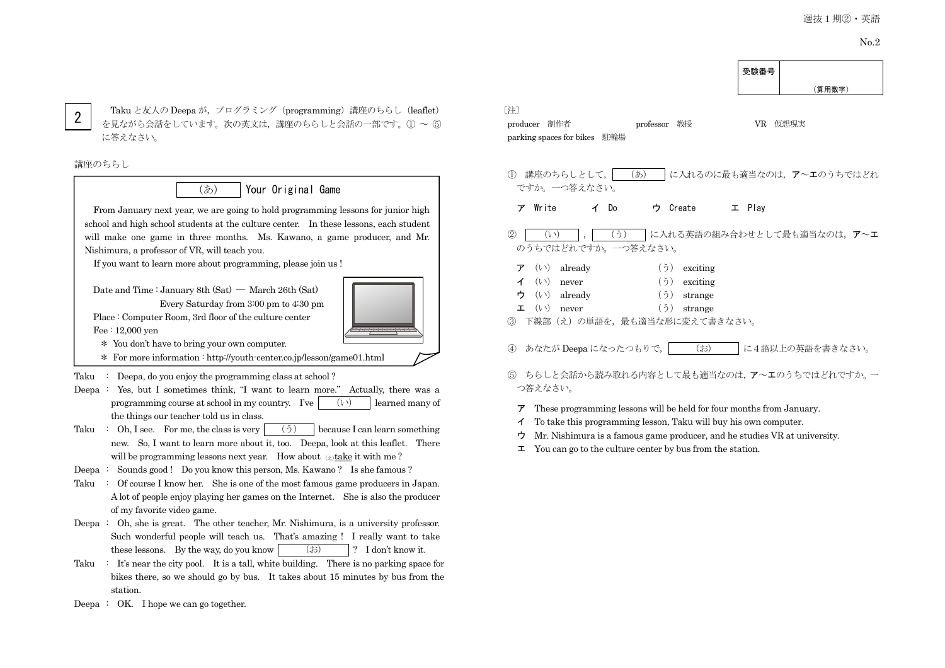(算用数字)

受験番号

2

Taku と友人の Deepa が、プログラミング (programming) 講座のちらし (leaflet) を見ながら会話をしています。次の英文は,講座のちらしと会話の一部です。① ~ ⑤ に答えなさい。

#### 講座のちらし



From January next year, we are going to hold programming lessons for junior high school and high school students at the culture center. In these lessons, each student will make one game in three months. Ms. Kawano, a game producer, and Mr. Nishimura, a professor of VR, will teach you.

If you want to learn more about programming, please join us !

Date and Time : January 8th  $(Sat)$  — March 26th  $(Sat)$ 

Every Saturday from 3:00 pm to 4:30 pm Place : Computer Room, 3rd floor of the culture center Fee : 12,000 yen

\* You don't have to bring your own computer.

\* For more information : http://youth-center.co.jp/lesson/game01.html

#### Taku : Deepa, do you enjoy the programming class at school?

Deepa : Yes, but I sometimes think, "I want to learn more." Actually, there was a programming course at school in my country. I've  $(v)$  learned many of the things our teacher told us in class.

- Taku : Oh, I see. For me, the class is very  $(5)$  because I can learn something new. So, I want to learn more about it, too. Deepa, look at this leaflet. There will be programming lessons next year. How about  $\alpha$  take it with me?
- Deepa : Sounds good ! Do you know this person, Ms. Kawano ? Is she famous ?
- Taku : Of course I know her. She is one of the most famous game producers in Japan. A lot of people enjoy playing her games on the Internet. She is also the producer of my favorite video game.
- Deepa : Oh, she is great. The other teacher, Mr. Nishimura, is a university professor. Such wonderful people will teach us. That's amazing ! I really want to take these lessons. By the way, do you know  $|\cdot\rangle$  (お)  $|\cdot\rangle$  I don't know it.
- Taku  $\therefore$  It's near the city pool. It is a tall, white building. There is no parking space for bikes there, so we should go by bus. It takes about 15 minutes by bus from the station.
- Deepa : OK. I hope we can go together.

# 〔注〕

| producer 制作者                 | professor 教授 |  | VR 仮想現実 |
|------------------------------|--------------|--|---------|
| parking spaces for bikes 駐輪場 |              |  |         |

① 講座のちらしとして, | (あ) |に入れるのに最も適当なのは, ア~エのうちではどれ ですか。一つ答えなさい。 ア Write イ Do ウ Create エ Play ② │ (い) │,│ (う) │に入れる英語の組み合わせとして最も適当なのは, ア~エ のうちではどれですか。一つ答えなさい。

|  | $\mathcal{F}$ ( <i>v</i> ) already | $(5)$ exciting |
|--|------------------------------------|----------------|
|  | $\checkmark$ ((i) never            | $(5)$ exciting |
|  | ウ (い) already                      | $(5)$ strange  |
|  | $\mathbf{\Sigma}$ ( $\vee$ ) never | $(5)$ strange  |

- 下線部(え)の単語を、最も適当な形に変えて書きなさい。
- ④ あなたが Deepa になったつもりで, (お) に4語以上の英語を書きなさい。
- ⑤ ちらしと会話から読み取れる内容として最も適当なのは,ア~エのうちではどれですか。一 つ答えなさい。

#### $\triangledown$  These programming lessons will be held for four months from January.

- イ To take this programming lesson, Taku will buy his own computer.
- ウ Mr. Nishimura is a famous game producer, and he studies VR at university.
- $\mathcal{I}$  You can go to the culture center by bus from the station.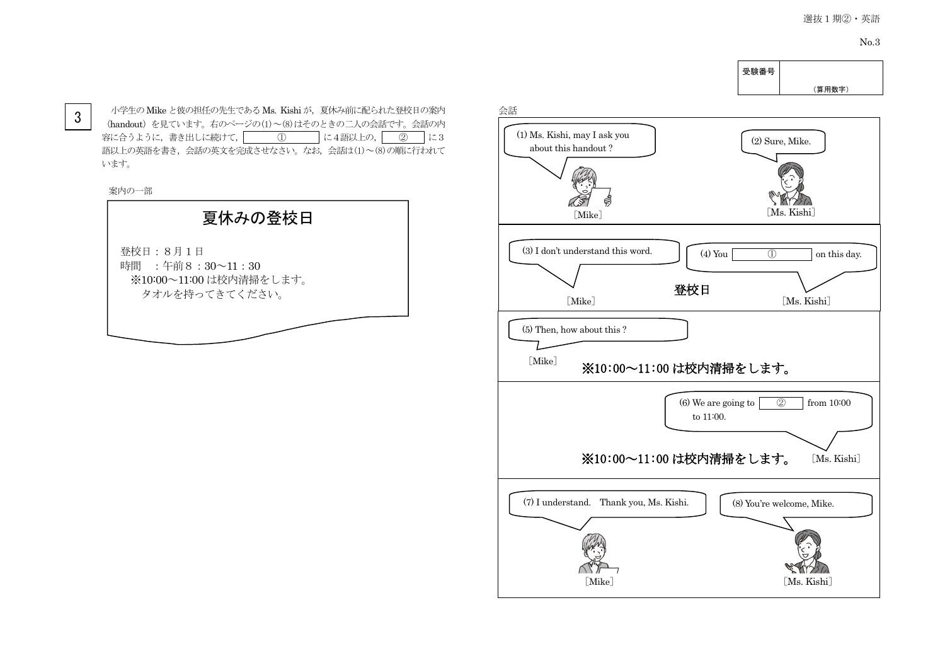3

小学生の Mike と彼の担任の先生である Ms. Kishi が、夏休み前に配られた登校日の案内 (handout)を見ています。右のページの(1)~(8)はそのときの二人の会話です。会話の内 容に合うように, 書き出しに続けて, 40 0 に4語以上の, 40 に3 語以上の英語を書き、会話の英文を完成させなさい。なお、会話は(1)~(8)の順に行われて います。

案内の一部



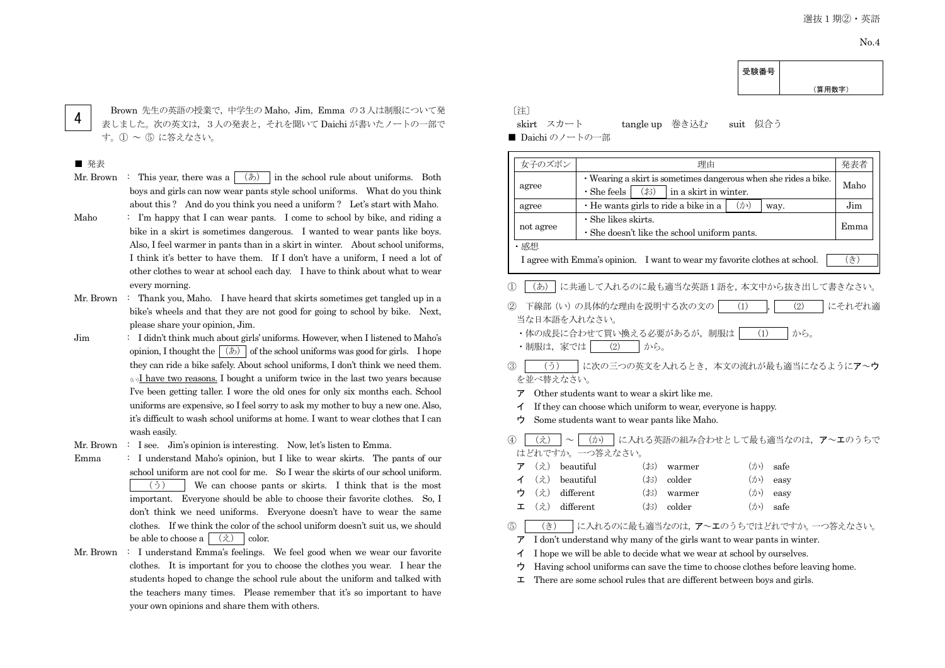(算用数字)

受験番号

4

Brown 先生の英語の授業で,中学生の Maho, Jim, Emma の3人は制服について発 表しました。次の英文は,3人の発表と,それを聞いて Daichi が書いたノートの一部で す。① ~ ⑤ に答えなさい。

#### ■ 発表

- Mr. Brown : This year, there was a  $(\phi)$  in the school rule about uniforms. Both boys and girls can now wear pants style school uniforms. What do you think about this ? And do you think you need a uniform ? Let's start with Maho.
- Maho : I'm happy that I can wear pants. I come to school by bike, and riding a bike in a skirt is sometimes dangerous. I wanted to wear pants like boys. Also, I feel warmer in pants than in a skirt in winter. About school uniforms, I think it's better to have them. If I don't have a uniform, I need a lot of other clothes to wear at school each day. I have to think about what to wear every morning.
- Mr. Brown : Thank you, Maho. I have heard that skirts sometimes get tangled up in a bike's wheels and that they are not good for going to school by bike. Next, please share your opinion, Jim.
- Jim : I didn't think much about girls' uniforms. However, when I listened to Maho's opinion, I thought the  $(\phi)$  of the school uniforms was good for girls. I hope they can ride a bike safely. About school uniforms, I don't think we need them.  $\langle \psi \rangle$ I have two reasons. I bought a uniform twice in the last two years because I've been getting taller. I wore the old ones for only six months each. School uniforms are expensive, so I feel sorry to ask my mother to buy a new one. Also, it's difficult to wash school uniforms at home. I want to wear clothes that I can wash easily.
- Mr. Brown : I see. Jim's opinion is interesting. Now, let's listen to Emma.
- Emma : I understand Maho's opinion, but I like to wear skirts. The pants of our school uniform are not cool for me. So I wear the skirts of our school uniform. (う) We can choose pants or skirts. I think that is the most important. Everyone should be able to choose their favorite clothes. So, I don't think we need uniforms. Everyone doesn't have to wear the same clothes. If we think the color of the school uniform doesn't suit us, we should be able to choose a  $(\lambda)$  color.
- Mr. Brown : I understand Emma's feelings. We feel good when we wear our favorite clothes. It is important for you to choose the clothes you wear. I hear the students hoped to change the school rule about the uniform and talked with the teachers many times. Please remember that it's so important to have your own opinions and share them with others.

〔注〕

skirt スカート tangle up 巻き込む suit 似合う

■ Daichi のノートの一部

|                                                  |                                                                 |                                                    | 理由                                                                                                                                              |              |                                       | 発表者    |
|--------------------------------------------------|-----------------------------------------------------------------|----------------------------------------------------|-------------------------------------------------------------------------------------------------------------------------------------------------|--------------|---------------------------------------|--------|
| agree                                            | • Wearing a skirt is sometimes dangerous when she rides a bike. |                                                    |                                                                                                                                                 |              |                                       | Maho   |
|                                                  |                                                                 | $\cdot$ She feels<br>(t5)<br>in a skirt in winter. |                                                                                                                                                 |              |                                       |        |
| agree                                            |                                                                 |                                                    | · He wants girls to ride a bike in a                                                                                                            | $(\nexists)$ | way.                                  | Jim    |
| not agree                                        | $\cdot$ She likes skirts.                                       |                                                    |                                                                                                                                                 |              |                                       | Emma   |
|                                                  |                                                                 |                                                    | · She doesn't like the school uniform pants.                                                                                                    |              |                                       |        |
| ・感想                                              |                                                                 |                                                    |                                                                                                                                                 |              |                                       |        |
|                                                  |                                                                 |                                                    | I agree with Emma's opinion. I want to wear my favorite clothes at school.                                                                      |              |                                       | (き)    |
|                                                  |                                                                 |                                                    |                                                                                                                                                 |              |                                       |        |
| (あ)<br>(1)                                       |                                                                 |                                                    |                                                                                                                                                 |              | に共通して入れるのに最も適当な英語1語を、本文中から抜き出して書きなさい。 |        |
| (2)                                              | 下線部 (い) の具体的な理由を説明する次の文の                                        |                                                    |                                                                                                                                                 | (1)          | (2)                                   | にそれぞれ適 |
| 当な日本語を入れなさい。                                     |                                                                 |                                                    |                                                                                                                                                 |              |                                       |        |
|                                                  |                                                                 |                                                    | • 体の成長に合わせて買い換える必要があるが、制服は                                                                                                                      |              | (1)<br>から。                            |        |
| ・制服は, 家では                                        | (2)   から。                                                       |                                                    |                                                                                                                                                 |              |                                       |        |
|                                                  |                                                                 |                                                    |                                                                                                                                                 |              |                                       |        |
| $\circled{3}$<br>(5)                             |                                                                 |                                                    |                                                                                                                                                 |              | に次の三つの英文を入れるとき、本文の流れが最も適当になるようにア~ウ    |        |
| を並べ替えなさい。                                        |                                                                 |                                                    |                                                                                                                                                 |              |                                       |        |
| ァ                                                | Other students want to wear a skirt like me.                    |                                                    |                                                                                                                                                 |              |                                       |        |
| イ                                                |                                                                 |                                                    | If they can choose which uniform to wear, everyone is happy.                                                                                    |              |                                       |        |
|                                                  |                                                                 |                                                    |                                                                                                                                                 |              |                                       |        |
| ゥ<br>Some students want to wear pants like Maho. |                                                                 |                                                    |                                                                                                                                                 |              |                                       |        |
| $\circled{4}$<br>$(\dot{z})$                     | (か)                                                             |                                                    |                                                                                                                                                 |              | に入れる英語の組み合わせとして最も適当なのは、ア~エのうちで        |        |
| はどれですか。一つ答えなさい。                                  |                                                                 |                                                    |                                                                                                                                                 |              |                                       |        |
| $(\dot{z})$<br>ア                                 | beautiful                                                       | (3)                                                | warmer                                                                                                                                          | $(\nexists)$ | safe                                  |        |
| $(\dot{z})$<br>イ                                 | beautiful                                                       | (3)                                                | colder                                                                                                                                          | $(\nexists)$ | easy                                  |        |
| (え)<br>ゥ                                         | different                                                       | $(\ddot{\delta})$                                  | warmer                                                                                                                                          | $(\nexists)$ | easy                                  |        |
| $(\dot{z})$<br>ᆂ                                 | different                                                       | $(\ddot{\delta})$                                  | colder                                                                                                                                          | $(\nexists)$ | safe                                  |        |
|                                                  |                                                                 |                                                    |                                                                                                                                                 |              |                                       |        |
| $\circledS$<br>(き)                               |                                                                 |                                                    |                                                                                                                                                 |              | に入れるのに最も適当なのは、ア~エのうちではどれですか。一つ答えなさい。  |        |
| ア<br>イ                                           |                                                                 |                                                    | I don't understand why many of the girls want to wear pants in winter.<br>I hope we will be able to decide what we wear at school by ourselves. |              |                                       |        |

 $\mathcal{I}$  There are some school rules that are different between boys and girls.